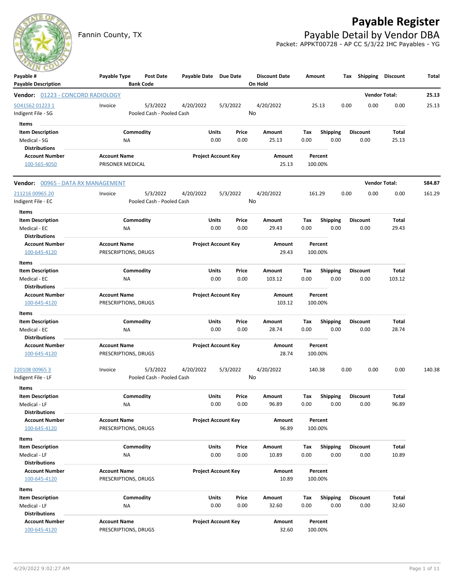## **Payable Register**

Fannin County, TX **Payable Detail by Vendor DBA** Packet: APPKT00728 - AP CC 5/3/22 IHC Payables - YG



| Payable #                                     | Payable Type                                | Post Date                 | Payable Date Due Date |                            |      | <b>Discount Date</b> | Amount |                    | Tax  | Shipping        | Discount             | Total  |
|-----------------------------------------------|---------------------------------------------|---------------------------|-----------------------|----------------------------|------|----------------------|--------|--------------------|------|-----------------|----------------------|--------|
| <b>Payable Description</b>                    |                                             | <b>Bank Code</b>          |                       |                            |      | On Hold              |        |                    |      |                 |                      |        |
| Vendor: 01223 - CONCORD RADIOLOGY             |                                             |                           |                       |                            |      |                      |        |                    |      |                 | <b>Vendor Total:</b> | 25.13  |
| SO41562 01223 1                               | Invoice                                     | 5/3/2022                  | 4/20/2022             | 5/3/2022                   |      | 4/20/2022            |        | 25.13              | 0.00 | 0.00            | 0.00                 | 25.13  |
| Indigent File - SG                            |                                             | Pooled Cash - Pooled Cash |                       |                            | No   |                      |        |                    |      |                 |                      |        |
| Items                                         |                                             |                           |                       |                            |      |                      |        |                    |      |                 |                      |        |
| <b>Item Description</b>                       |                                             | Commodity                 |                       | Units<br>Price             |      | Amount               | Tax    | <b>Shipping</b>    |      | <b>Discount</b> | Total                |        |
| Medical - SG                                  | NA                                          |                           |                       | 0.00                       | 0.00 | 25.13                | 0.00   | 0.00               |      | 0.00            | 25.13                |        |
| <b>Distributions</b>                          |                                             |                           |                       |                            |      |                      |        |                    |      |                 |                      |        |
| <b>Account Number</b>                         | <b>Account Name</b>                         |                           |                       | <b>Project Account Key</b> |      | Amount               |        | Percent            |      |                 |                      |        |
| 100-565-4050                                  | PRISONER MEDICAL                            |                           |                       |                            |      | 25.13                |        | 100.00%            |      |                 |                      |        |
| <b>Vendor:</b> 00965 - DATA RX MANAGEMENT     |                                             |                           |                       |                            |      |                      |        |                    |      |                 | <b>Vendor Total:</b> | 584.87 |
| 211216 00965 20                               | Invoice                                     | 5/3/2022                  | 4/20/2022             | 5/3/2022                   |      | 4/20/2022            |        | 161.29             | 0.00 | 0.00            | 0.00                 | 161.29 |
| Indigent File - EC                            |                                             | Pooled Cash - Pooled Cash |                       |                            | No   |                      |        |                    |      |                 |                      |        |
| Items                                         |                                             |                           |                       |                            |      |                      |        |                    |      |                 |                      |        |
| <b>Item Description</b>                       |                                             | Commodity                 |                       | Units<br>Price             |      | Amount               | Tax    | <b>Shipping</b>    |      | <b>Discount</b> | Total                |        |
| Medical - EC                                  | NA                                          |                           |                       | 0.00                       | 0.00 | 29.43                | 0.00   | 0.00               |      | 0.00            | 29.43                |        |
| <b>Distributions</b>                          |                                             |                           |                       |                            |      |                      |        |                    |      |                 |                      |        |
| <b>Account Number</b>                         | <b>Account Name</b>                         |                           |                       | <b>Project Account Key</b> |      | Amount               |        | Percent            |      |                 |                      |        |
| 100-645-4120                                  | PRESCRIPTIONS, DRUGS                        |                           |                       |                            |      | 29.43                |        | 100.00%            |      |                 |                      |        |
| Items                                         |                                             |                           |                       |                            |      |                      |        |                    |      |                 |                      |        |
| <b>Item Description</b>                       |                                             | Commodity                 |                       | Units<br>Price             |      | Amount               | Tax    | <b>Shipping</b>    |      | <b>Discount</b> | Total                |        |
| Medical - EC                                  | NA                                          |                           |                       | 0.00                       | 0.00 | 103.12               | 0.00   | 0.00               |      | 0.00            | 103.12               |        |
| <b>Distributions</b>                          |                                             |                           |                       |                            |      |                      |        |                    |      |                 |                      |        |
| <b>Account Number</b>                         | <b>Account Name</b>                         |                           |                       | <b>Project Account Key</b> |      | Amount               |        | Percent            |      |                 |                      |        |
| 100-645-4120                                  | PRESCRIPTIONS, DRUGS                        |                           |                       |                            |      | 103.12               |        | 100.00%            |      |                 |                      |        |
| Items                                         |                                             |                           |                       |                            |      |                      |        |                    |      |                 |                      |        |
| <b>Item Description</b>                       |                                             | Commodity                 |                       | Units<br>Price             |      | Amount               | Tax    | <b>Shipping</b>    |      | <b>Discount</b> | Total                |        |
| Medical - EC<br><b>Distributions</b>          | NA                                          |                           |                       | 0.00                       | 0.00 | 28.74                | 0.00   | 0.00               |      | 0.00            | 28.74                |        |
| <b>Account Number</b>                         | <b>Account Name</b>                         |                           |                       | <b>Project Account Key</b> |      | Amount               |        | Percent            |      |                 |                      |        |
| 100-645-4120                                  | PRESCRIPTIONS, DRUGS                        |                           |                       |                            |      | 28.74                |        | 100.00%            |      |                 |                      |        |
|                                               |                                             |                           |                       |                            |      |                      |        |                    |      |                 |                      |        |
| 220108 00965 3                                | Invoice                                     | 5/3/2022                  | 4/20/2022             | 5/3/2022                   |      | 4/20/2022            |        | 140.38             | 0.00 | 0.00            | 0.00                 | 140.38 |
| Indigent File - LF                            |                                             | Pooled Cash - Pooled Cash |                       |                            | No   |                      |        |                    |      |                 |                      |        |
| Items                                         |                                             |                           |                       |                            |      |                      |        |                    |      |                 |                      |        |
| <b>Item Description</b>                       |                                             | Commodity                 |                       | Units<br>Price             |      | Amount               | Tax    | <b>Shipping</b>    |      | <b>Discount</b> | Total                |        |
| Medical - LF                                  | ΝA                                          |                           |                       | 0.00                       | 0.00 | 96.89                | 0.00   | 0.00               |      | 0.00            | 96.89                |        |
| <b>Distributions</b>                          |                                             |                           |                       |                            |      |                      |        |                    |      |                 |                      |        |
| <b>Account Number</b>                         | <b>Account Name</b>                         |                           |                       | <b>Project Account Key</b> |      | Amount               |        | Percent            |      |                 |                      |        |
| 100-645-4120                                  | PRESCRIPTIONS, DRUGS                        |                           |                       |                            |      | 96.89                |        | 100.00%            |      |                 |                      |        |
| Items                                         |                                             |                           |                       |                            |      |                      |        |                    |      |                 |                      |        |
| <b>Item Description</b>                       |                                             | Commodity                 |                       | Units<br>Price             |      | Amount               | Tax    | <b>Shipping</b>    |      | <b>Discount</b> | <b>Total</b>         |        |
| Medical - LF                                  | NA                                          |                           |                       | 0.00                       | 0.00 | 10.89                | 0.00   | 0.00               |      | 0.00            | 10.89                |        |
| <b>Distributions</b>                          |                                             |                           |                       |                            |      |                      |        |                    |      |                 |                      |        |
| <b>Account Number</b><br>100-645-4120         | <b>Account Name</b><br>PRESCRIPTIONS, DRUGS |                           |                       | <b>Project Account Key</b> |      | Amount<br>10.89      |        | Percent<br>100.00% |      |                 |                      |        |
|                                               |                                             |                           |                       |                            |      |                      |        |                    |      |                 |                      |        |
| Items                                         |                                             |                           |                       |                            |      |                      |        |                    |      |                 |                      |        |
| <b>Item Description</b>                       |                                             | Commodity                 |                       | Units<br>Price             |      | Amount               | Tax    | <b>Shipping</b>    |      | <b>Discount</b> | Total                |        |
| Medical - LF                                  | NA                                          |                           |                       | 0.00                       | 0.00 | 32.60                | 0.00   | 0.00               |      | 0.00            | 32.60                |        |
| <b>Distributions</b><br><b>Account Number</b> | <b>Account Name</b>                         |                           |                       | <b>Project Account Key</b> |      | Amount               |        | Percent            |      |                 |                      |        |
| 100-645-4120                                  | PRESCRIPTIONS, DRUGS                        |                           |                       |                            |      | 32.60                |        | 100.00%            |      |                 |                      |        |
|                                               |                                             |                           |                       |                            |      |                      |        |                    |      |                 |                      |        |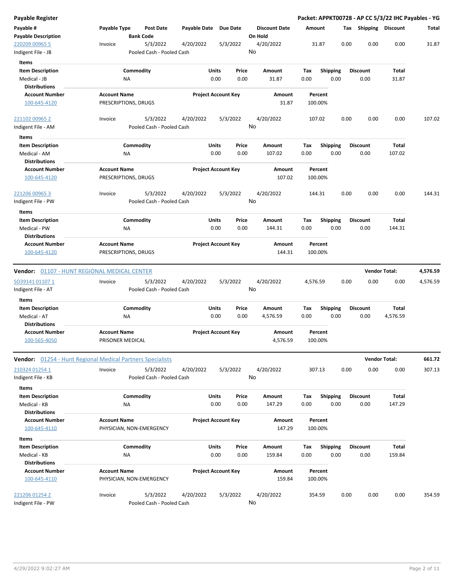| Payable Register                                                |                                             |                                       |              |                            |                                 |                    |                         | Packet: APPKT00728 - AP CC 5/3/22 IHC Payables - YG |                      |          |
|-----------------------------------------------------------------|---------------------------------------------|---------------------------------------|--------------|----------------------------|---------------------------------|--------------------|-------------------------|-----------------------------------------------------|----------------------|----------|
| Payable #<br><b>Payable Description</b>                         | Payable Type<br><b>Bank Code</b>            | <b>Post Date</b>                      | Payable Date | <b>Due Date</b>            | <b>Discount Date</b><br>On Hold | Amount             |                         | Tax Shipping Discount                               |                      | Total    |
| 220209 00965 5<br>Indigent File - JB                            | Invoice                                     | 5/3/2022<br>Pooled Cash - Pooled Cash | 4/20/2022    | 5/3/2022                   | 4/20/2022<br>No                 | 31.87              | 0.00                    | 0.00                                                | 0.00                 | 31.87    |
| Items                                                           |                                             |                                       |              |                            |                                 |                    |                         |                                                     |                      |          |
| <b>Item Description</b>                                         | Commodity                                   |                                       | Units        | Price                      | Amount                          | Tax                | <b>Shipping</b>         | Discount                                            | Total                |          |
| Medical - JB                                                    | <b>NA</b>                                   |                                       |              | 0.00<br>0.00               | 31.87                           | 0.00               | 0.00                    | 0.00                                                | 31.87                |          |
| <b>Distributions</b>                                            |                                             |                                       |              |                            |                                 |                    |                         |                                                     |                      |          |
| <b>Account Number</b>                                           | <b>Account Name</b>                         |                                       |              | <b>Project Account Key</b> | Amount                          | Percent            |                         |                                                     |                      |          |
| 100-645-4120                                                    | PRESCRIPTIONS, DRUGS                        |                                       |              |                            | 31.87                           | 100.00%            |                         |                                                     |                      |          |
| 221102 00965 2                                                  | Invoice                                     | 5/3/2022                              | 4/20/2022    | 5/3/2022                   | 4/20/2022                       | 107.02             | 0.00                    | 0.00                                                | 0.00                 | 107.02   |
| Indigent File - AM<br>Items                                     |                                             | Pooled Cash - Pooled Cash             |              |                            | No                              |                    |                         |                                                     |                      |          |
| <b>Item Description</b>                                         | Commodity                                   |                                       | Units        | Price                      | Amount                          | Tax                | <b>Shipping</b>         | <b>Discount</b>                                     | Total                |          |
| Medical - AM                                                    | ΝA                                          |                                       |              | 0.00<br>0.00               | 107.02                          | 0.00               | 0.00                    | 0.00                                                | 107.02               |          |
| <b>Distributions</b>                                            |                                             |                                       |              |                            |                                 |                    |                         |                                                     |                      |          |
| <b>Account Number</b><br>100-645-4120                           | <b>Account Name</b><br>PRESCRIPTIONS, DRUGS |                                       |              | <b>Project Account Key</b> | <b>Amount</b><br>107.02         | Percent<br>100.00% |                         |                                                     |                      |          |
| 221206 00965 3<br>Indigent File - PW                            | Invoice                                     | 5/3/2022<br>Pooled Cash - Pooled Cash | 4/20/2022    | 5/3/2022                   | 4/20/2022<br>No                 | 144.31             | 0.00                    | 0.00                                                | 0.00                 | 144.31   |
| Items                                                           |                                             |                                       |              |                            |                                 |                    |                         |                                                     |                      |          |
| <b>Item Description</b>                                         | Commodity                                   |                                       | Units        | Price                      | Amount                          | Tax                | <b>Shipping</b>         | <b>Discount</b>                                     | Total                |          |
| Medical - PW                                                    | ΝA                                          |                                       |              | 0.00<br>0.00               | 144.31                          | 0.00               | 0.00                    | 0.00                                                | 144.31               |          |
| <b>Distributions</b>                                            |                                             |                                       |              |                            |                                 |                    |                         |                                                     |                      |          |
| <b>Account Number</b>                                           | <b>Account Name</b>                         |                                       |              | <b>Project Account Key</b> | Amount                          | Percent            |                         |                                                     |                      |          |
| 100-645-4120                                                    | PRESCRIPTIONS, DRUGS                        |                                       |              |                            | 144.31                          | 100.00%            |                         |                                                     |                      |          |
| <b>Vendor:</b> 01107 - HUNT REGIONAL MEDICAL CENTER             |                                             |                                       |              |                            |                                 |                    |                         |                                                     | <b>Vendor Total:</b> | 4,576.59 |
| SO39141 01107 1                                                 | Invoice                                     | 5/3/2022                              | 4/20/2022    | 5/3/2022                   | 4/20/2022                       | 4,576.59           | 0.00                    | 0.00                                                | 0.00                 | 4,576.59 |
| Indigent File - AT                                              |                                             | Pooled Cash - Pooled Cash             |              |                            | No                              |                    |                         |                                                     |                      |          |
| Items                                                           |                                             |                                       |              |                            |                                 |                    |                         |                                                     |                      |          |
| <b>Item Description</b>                                         | Commodity                                   |                                       | Units        | Price                      | Amount                          | Tax                | <b>Shipping</b>         | Discount                                            | Total                |          |
| Medical - AT                                                    | <b>NA</b>                                   |                                       |              | 0.00<br>0.00               | 4,576.59                        | 0.00               | 0.00                    | 0.00                                                | 4,576.59             |          |
| <b>Distributions</b>                                            |                                             |                                       |              |                            |                                 |                    |                         |                                                     |                      |          |
| <b>Account Number</b>                                           | <b>Account Name</b>                         |                                       |              | <b>Project Account Key</b> | Amount                          | Percent            |                         |                                                     |                      |          |
| 100-565-4050                                                    | PRISONER MEDICAL                            |                                       |              |                            | 4,576.59                        | 100.00%            |                         |                                                     |                      |          |
| Vendor: 01254 - Hunt Regional Medical Partners Specialists      |                                             |                                       |              |                            |                                 |                    |                         |                                                     | <b>Vendor Total:</b> | 661.72   |
| 210324 01254 1                                                  | Invoice                                     | 5/3/2022                              | 4/20/2022    | 5/3/2022                   | 4/20/2022                       | 307.13             | 0.00                    | 0.00                                                | 0.00                 | 307.13   |
| Indigent File - KB                                              |                                             | Pooled Cash - Pooled Cash             |              |                            | No                              |                    |                         |                                                     |                      |          |
| Items                                                           |                                             |                                       |              |                            |                                 |                    |                         |                                                     |                      |          |
| <b>Item Description</b><br>Medical - KB<br><b>Distributions</b> | Commodity<br><b>NA</b>                      |                                       | Units        | Price<br>0.00<br>0.00      | Amount<br>147.29                | Tax<br>0.00        | <b>Shipping</b><br>0.00 | <b>Discount</b><br>0.00                             | Total<br>147.29      |          |
| <b>Account Number</b>                                           | <b>Account Name</b>                         |                                       |              | <b>Project Account Key</b> | <b>Amount</b>                   | Percent            |                         |                                                     |                      |          |
| 100-645-4110                                                    | PHYSICIAN, NON-EMERGENCY                    |                                       |              |                            | 147.29                          | 100.00%            |                         |                                                     |                      |          |
|                                                                 |                                             |                                       |              |                            |                                 |                    |                         |                                                     |                      |          |
| Items                                                           |                                             |                                       |              |                            |                                 |                    |                         |                                                     |                      |          |
| <b>Item Description</b><br>Medical - KB<br><b>Distributions</b> | Commodity<br>ΝA                             |                                       | Units        | Price<br>0.00<br>0.00      | Amount<br>159.84                | Tax<br>0.00        | <b>Shipping</b><br>0.00 | <b>Discount</b><br>0.00                             | Total<br>159.84      |          |
| <b>Account Number</b>                                           | <b>Account Name</b>                         |                                       |              | <b>Project Account Key</b> | Amount                          | Percent            |                         |                                                     |                      |          |
| 100-645-4110                                                    | PHYSICIAN, NON-EMERGENCY                    |                                       |              |                            | 159.84                          | 100.00%            |                         |                                                     |                      |          |
| 221206 01254 2<br>Indigent File - PW                            | Invoice                                     | 5/3/2022<br>Pooled Cash - Pooled Cash | 4/20/2022    | 5/3/2022                   | 4/20/2022<br>No                 | 354.59             | 0.00                    | 0.00                                                | 0.00                 | 354.59   |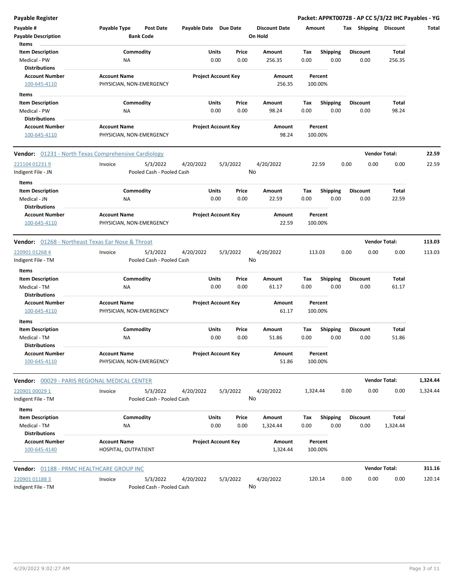| <b>Payable Register</b>                          |                                                             |                                |                                 | Packet: APPKT00728 - AP CC 5/3/22 IHC Payables - YG |                         |                |          |
|--------------------------------------------------|-------------------------------------------------------------|--------------------------------|---------------------------------|-----------------------------------------------------|-------------------------|----------------|----------|
| Payable #<br><b>Payable Description</b>          | Payable Type<br><b>Post Date</b><br><b>Bank Code</b>        | Payable Date Due Date          | <b>Discount Date</b><br>On Hold | Amount                                              | Tax Shipping Discount   |                | Total    |
| Items<br><b>Item Description</b>                 | Commodity                                                   | Price<br>Units                 | Amount                          | Tax<br><b>Shipping</b>                              | <b>Discount</b>         | Total          |          |
| Medical - PW<br><b>Distributions</b>             | NA                                                          | 0.00<br>0.00                   | 256.35                          | 0.00<br>0.00                                        | 0.00                    | 256.35         |          |
| <b>Account Number</b>                            | <b>Account Name</b>                                         | <b>Project Account Key</b>     | Amount                          | Percent                                             |                         |                |          |
| 100-645-4110                                     | PHYSICIAN, NON-EMERGENCY                                    |                                | 256.35                          | 100.00%                                             |                         |                |          |
| Items                                            |                                                             |                                |                                 |                                                     |                         |                |          |
| <b>Item Description</b>                          | Commodity                                                   | Units<br>Price                 | Amount                          | Tax<br><b>Shipping</b>                              | <b>Discount</b>         | Total          |          |
| Medical - PW<br><b>Distributions</b>             | NA                                                          | 0.00<br>0.00                   | 98.24                           | 0.00<br>0.00                                        | 0.00                    | 98.24          |          |
| <b>Account Number</b>                            | <b>Account Name</b>                                         | <b>Project Account Key</b>     | Amount                          | Percent                                             |                         |                |          |
| 100-645-4110                                     | PHYSICIAN, NON-EMERGENCY                                    |                                | 98.24                           | 100.00%                                             |                         |                |          |
|                                                  | <b>Vendor:</b> 01231 - North Texas Comprehensive Cardiology |                                |                                 |                                                     | <b>Vendor Total:</b>    |                | 22.59    |
| 221104 01231 9                                   | 5/3/2022<br>Invoice                                         | 4/20/2022<br>5/3/2022          | 4/20/2022                       | 22.59                                               | 0.00<br>0.00            | 0.00           | 22.59    |
| Indigent File - JN                               | Pooled Cash - Pooled Cash                                   |                                | No                              |                                                     |                         |                |          |
| Items                                            |                                                             |                                |                                 |                                                     |                         |                |          |
| <b>Item Description</b>                          | Commodity                                                   | Units<br>Price                 | Amount                          | Tax<br><b>Shipping</b>                              | <b>Discount</b>         | Total          |          |
| Medical - JN<br><b>Distributions</b>             | ΝA                                                          | 0.00<br>0.00                   | 22.59                           | 0.00<br>0.00                                        | 0.00                    | 22.59          |          |
| <b>Account Number</b>                            | <b>Account Name</b>                                         | <b>Project Account Key</b>     | Amount                          | Percent                                             |                         |                |          |
| 100-645-4110                                     | PHYSICIAN, NON-EMERGENCY                                    |                                | 22.59                           | 100.00%                                             |                         |                |          |
|                                                  | Vendor: 01268 - Northeast Texas Ear Nose & Throat           |                                |                                 |                                                     | <b>Vendor Total:</b>    |                | 113.03   |
|                                                  |                                                             |                                |                                 |                                                     |                         |                |          |
| 220901 01268 4                                   | 5/3/2022<br>Invoice                                         | 4/20/2022<br>5/3/2022          | 4/20/2022<br>No                 | 113.03                                              | 0.00<br>0.00            | 0.00           | 113.03   |
| Indigent File - TM                               | Pooled Cash - Pooled Cash                                   |                                |                                 |                                                     |                         |                |          |
| Items                                            |                                                             |                                |                                 |                                                     |                         |                |          |
| <b>Item Description</b>                          | Commodity                                                   | Units<br>Price                 | Amount                          | Tax<br><b>Shipping</b>                              | <b>Discount</b>         | Total          |          |
| Medical - TM                                     | NA                                                          | 0.00<br>0.00                   | 61.17                           | 0.00<br>0.00                                        | 0.00                    | 61.17          |          |
| <b>Distributions</b>                             |                                                             |                                |                                 |                                                     |                         |                |          |
| <b>Account Number</b><br>100-645-4110            | <b>Account Name</b><br>PHYSICIAN, NON-EMERGENCY             | <b>Project Account Key</b>     | Amount<br>61.17                 | Percent<br>100.00%                                  |                         |                |          |
| Items                                            |                                                             |                                |                                 |                                                     |                         |                |          |
| <b>Item Description</b><br>Medical - TM          | Commodity<br><b>NA</b>                                      | Units<br>Price<br>0.00<br>0.00 | Amount<br>51.86                 | Tax<br><b>Shipping</b><br>0.00<br>0.00              | <b>Discount</b><br>0.00 | Total<br>51.86 |          |
| <b>Distributions</b>                             |                                                             |                                |                                 |                                                     |                         |                |          |
| <b>Account Number</b><br>100-645-4110            | <b>Account Name</b><br>PHYSICIAN, NON-EMERGENCY             | <b>Project Account Key</b>     | Amount<br>51.86                 | Percent<br>100.00%                                  |                         |                |          |
|                                                  | Vendor: 00029 - PARIS REGIONAL MEDICAL CENTER               |                                |                                 |                                                     | <b>Vendor Total:</b>    |                | 1,324.44 |
| 220901 00029 1                                   | 5/3/2022<br>Invoice                                         | 4/20/2022<br>5/3/2022          | 4/20/2022                       | 1,324.44                                            | 0.00<br>0.00            | 0.00           | 1,324.44 |
| Indigent File - TM                               | Pooled Cash - Pooled Cash                                   |                                | No                              |                                                     |                         |                |          |
| Items<br><b>Item Description</b>                 | Commodity                                                   | Units<br>Price                 | Amount                          | <b>Shipping</b><br>Tax                              | <b>Discount</b>         | Total          |          |
| Medical - TM                                     | ΝA                                                          | 0.00<br>0.00                   | 1,324.44                        | 0.00<br>0.00                                        | 0.00                    | 1,324.44       |          |
| <b>Distributions</b>                             |                                                             |                                |                                 |                                                     |                         |                |          |
| <b>Account Number</b><br>100-645-4140            | <b>Account Name</b><br>HOSPITAL, OUTPATIENT                 | <b>Project Account Key</b>     | Amount<br>1,324.44              | Percent<br>100.00%                                  |                         |                |          |
| <b>Vendor:</b> 01188 - PRMC HEALTHCARE GROUP INC |                                                             |                                |                                 |                                                     | <b>Vendor Total:</b>    |                | 311.16   |
| 220901 01188 3                                   | 5/3/2022<br>Invoice                                         | 4/20/2022<br>5/3/2022          | 4/20/2022                       | 120.14                                              | 0.00<br>0.00            | 0.00           | 120.14   |
| Indigent File - TM                               | Pooled Cash - Pooled Cash                                   |                                | No                              |                                                     |                         |                |          |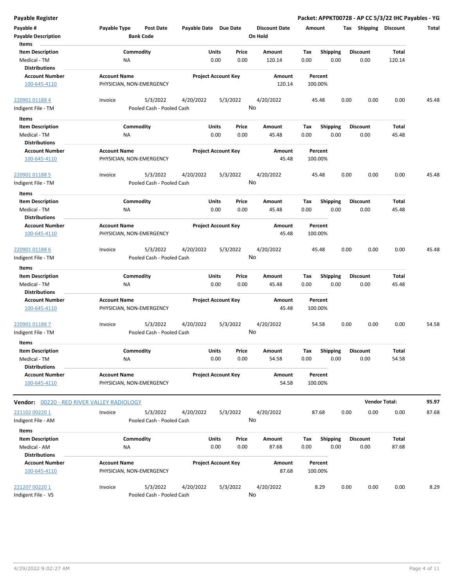| <b>Payable Register</b>                                         |                                                 |                                                    |               |                            |                                 |                    |                         |      |                         | Packet: APPKT00728 - AP CC 5/3/22 IHC Payables - YG |       |
|-----------------------------------------------------------------|-------------------------------------------------|----------------------------------------------------|---------------|----------------------------|---------------------------------|--------------------|-------------------------|------|-------------------------|-----------------------------------------------------|-------|
| Payable #<br><b>Payable Description</b>                         | Payable Type<br><b>Bank Code</b>                | <b>Post Date</b>                                   |               | Payable Date Due Date      | <b>Discount Date</b><br>On Hold | Amount             |                         |      | Tax Shipping Discount   |                                                     | Total |
| Items                                                           |                                                 |                                                    |               |                            |                                 |                    |                         |      |                         |                                                     |       |
| <b>Item Description</b>                                         | Commodity                                       |                                                    | Units         | Price                      | Amount                          | Tax                | Shipping                |      | <b>Discount</b>         | <b>Total</b>                                        |       |
| Medical - TM<br><b>Distributions</b>                            | NA                                              |                                                    | 0.00          | 0.00                       | 120.14                          | 0.00               | 0.00                    |      | 0.00                    | 120.14                                              |       |
| <b>Account Number</b>                                           | <b>Account Name</b>                             |                                                    |               | <b>Project Account Key</b> | Amount                          | Percent            |                         |      |                         |                                                     |       |
| 100-645-4110                                                    | PHYSICIAN, NON-EMERGENCY                        |                                                    |               |                            | 120.14                          | 100.00%            |                         |      |                         |                                                     |       |
| 220901 01188 4                                                  | Invoice                                         | 5/3/2022<br>4/20/2022                              |               | 5/3/2022                   | 4/20/2022                       | 45.48              |                         | 0.00 | 0.00                    | 0.00                                                | 45.48 |
| Indigent File - TM                                              |                                                 | Pooled Cash - Pooled Cash                          |               |                            | No                              |                    |                         |      |                         |                                                     |       |
| Items                                                           |                                                 |                                                    |               |                            |                                 |                    |                         |      |                         |                                                     |       |
| <b>Item Description</b><br>Medical - TM                         | Commodity<br>ΝA                                 |                                                    | Units<br>0.00 | Price<br>0.00              | Amount<br>45.48                 | Tax<br>0.00        | <b>Shipping</b><br>0.00 |      | <b>Discount</b><br>0.00 | Total<br>45.48                                      |       |
| <b>Distributions</b>                                            |                                                 |                                                    |               |                            |                                 |                    |                         |      |                         |                                                     |       |
| <b>Account Number</b><br>100-645-4110                           | <b>Account Name</b><br>PHYSICIAN, NON-EMERGENCY |                                                    |               | <b>Project Account Key</b> | Amount<br>45.48                 | Percent<br>100.00% |                         |      |                         |                                                     |       |
| 220901 01188 5                                                  | Invoice                                         | 5/3/2022<br>4/20/2022                              |               | 5/3/2022                   | 4/20/2022                       | 45.48              |                         | 0.00 | 0.00                    | 0.00                                                | 45.48 |
| Indigent File - TM                                              |                                                 | Pooled Cash - Pooled Cash                          |               |                            | No                              |                    |                         |      |                         |                                                     |       |
| Items                                                           |                                                 |                                                    |               |                            |                                 |                    |                         |      |                         |                                                     |       |
| <b>Item Description</b>                                         | Commodity                                       |                                                    | Units         | Price                      | Amount                          | Tax                | <b>Shipping</b>         |      | <b>Discount</b>         | <b>Total</b>                                        |       |
| Medical - TM<br><b>Distributions</b>                            | ΝA                                              |                                                    | 0.00          | 0.00                       | 45.48                           | 0.00               | 0.00                    |      | 0.00                    | 45.48                                               |       |
| <b>Account Number</b><br>100-645-4110                           | <b>Account Name</b><br>PHYSICIAN, NON-EMERGENCY |                                                    |               | <b>Project Account Key</b> | Amount<br>45.48                 | Percent<br>100.00% |                         |      |                         |                                                     |       |
| 220901 01188 6<br>Indigent File - TM                            | Invoice                                         | 5/3/2022<br>4/20/2022<br>Pooled Cash - Pooled Cash |               | 5/3/2022                   | 4/20/2022<br>No                 | 45.48              |                         | 0.00 | 0.00                    | 0.00                                                | 45.48 |
| Items                                                           |                                                 |                                                    |               |                            |                                 |                    |                         |      |                         |                                                     |       |
| <b>Item Description</b><br>Medical - TM<br><b>Distributions</b> | Commodity<br>NA                                 |                                                    | Units<br>0.00 | Price<br>0.00              | Amount<br>45.48                 | Tax<br>0.00        | <b>Shipping</b><br>0.00 |      | <b>Discount</b><br>0.00 | Total<br>45.48                                      |       |
| <b>Account Number</b><br>100-645-4110                           | <b>Account Name</b><br>PHYSICIAN, NON-EMERGENCY |                                                    |               | <b>Project Account Key</b> | <b>Amount</b><br>45.48          | Percent<br>100.00% |                         |      |                         |                                                     |       |
| 220901 01188 7<br>Indigent File - TM                            | Invoice                                         | 5/3/2022<br>4/20/2022<br>Pooled Cash - Pooled Cash |               | 5/3/2022                   | 4/20/2022<br>No                 | 54.58              |                         | 0.00 | 0.00                    | 0.00                                                | 54.58 |
| Items                                                           |                                                 |                                                    |               |                            |                                 |                    |                         |      |                         |                                                     |       |
| <b>Item Description</b>                                         | Commodity                                       |                                                    | Units         | Price                      | Amount                          | Tax                | Shipping                |      | <b>Discount</b>         | Total                                               |       |
| Medical - TM<br><b>Distributions</b>                            | NA                                              |                                                    | 0.00          | 0.00                       | 54.58                           | 0.00               | 0.00                    |      | 0.00                    | 54.58                                               |       |
| <b>Account Number</b>                                           | <b>Account Name</b>                             |                                                    |               | <b>Project Account Key</b> | Amount                          | Percent            |                         |      |                         |                                                     |       |
| 100-645-4110                                                    | PHYSICIAN, NON-EMERGENCY                        |                                                    |               |                            | 54.58                           | 100.00%            |                         |      |                         |                                                     |       |
| Vendor: 00220 - RED RIVER VALLEY RADIOLOGY                      |                                                 |                                                    |               |                            |                                 |                    |                         |      |                         | <b>Vendor Total:</b>                                | 95.97 |
| 221102 00220 1                                                  | Invoice                                         | 5/3/2022<br>4/20/2022                              |               | 5/3/2022                   | 4/20/2022                       | 87.68              |                         | 0.00 | 0.00                    | 0.00                                                | 87.68 |
| Indigent File - AM                                              |                                                 | Pooled Cash - Pooled Cash                          |               |                            | No                              |                    |                         |      |                         |                                                     |       |
| Items                                                           |                                                 |                                                    |               |                            |                                 |                    |                         |      |                         |                                                     |       |
| <b>Item Description</b>                                         | Commodity                                       |                                                    | Units         | Price                      | Amount                          | Tax                | <b>Shipping</b>         |      | <b>Discount</b>         | Total                                               |       |
| Medical - AM<br><b>Distributions</b>                            | NA                                              |                                                    | 0.00          | 0.00                       | 87.68                           | 0.00               | 0.00                    |      | 0.00                    | 87.68                                               |       |
| <b>Account Number</b>                                           | <b>Account Name</b>                             |                                                    |               | <b>Project Account Key</b> | Amount                          | Percent            |                         |      |                         |                                                     |       |
| 100-645-4110                                                    | PHYSICIAN, NON-EMERGENCY                        |                                                    |               |                            | 87.68                           | 100.00%            |                         |      |                         |                                                     |       |
| 221207 00220 1                                                  | Invoice                                         | 5/3/2022<br>4/20/2022                              |               | 5/3/2022                   | 4/20/2022                       |                    | 8.29                    | 0.00 | 0.00                    | 0.00                                                | 8.29  |
| Indigent File - VS                                              |                                                 | Pooled Cash - Pooled Cash                          |               |                            | No                              |                    |                         |      |                         |                                                     |       |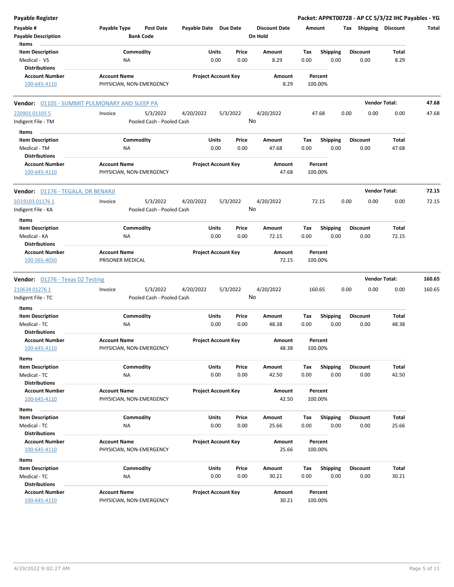| Payable Register                              |                                                      |                       |                            |                                 |                    |                         | Packet: APPKT00728 - AP CC 5/3/22 IHC Payables - YG |                |        |
|-----------------------------------------------|------------------------------------------------------|-----------------------|----------------------------|---------------------------------|--------------------|-------------------------|-----------------------------------------------------|----------------|--------|
| Payable #<br><b>Payable Description</b>       | Payable Type<br><b>Post Date</b><br><b>Bank Code</b> | Payable Date Due Date |                            | <b>Discount Date</b><br>On Hold | Amount             |                         | Tax Shipping Discount                               |                | Total  |
| Items<br><b>Item Description</b>              | Commodity                                            | Units                 | Price                      | Amount                          | Tax                | <b>Shipping</b>         | <b>Discount</b>                                     | Total          |        |
| Medical - VS                                  | ΝA                                                   | 0.00                  | 0.00                       | 8.29                            | 0.00               | 0.00                    | 0.00                                                | 8.29           |        |
| <b>Distributions</b>                          |                                                      |                       |                            |                                 |                    |                         |                                                     |                |        |
| <b>Account Number</b><br>100-645-4110         | <b>Account Name</b><br>PHYSICIAN, NON-EMERGENCY      |                       | <b>Project Account Key</b> | Amount<br>8.29                  | Percent<br>100.00% |                         |                                                     |                |        |
|                                               | Vendor: 01105 - SUMMIT PULMONARY AND SLEEP PA        |                       |                            |                                 |                    |                         | <b>Vendor Total:</b>                                |                | 47.68  |
|                                               |                                                      |                       |                            |                                 |                    |                         |                                                     |                |        |
| 220901 01105 5                                | 5/3/2022<br>Invoice<br>Pooled Cash - Pooled Cash     | 4/20/2022             | 5/3/2022<br>No             | 4/20/2022                       | 47.68              |                         | 0.00<br>0.00                                        | 0.00           | 47.68  |
| Indigent File - TM                            |                                                      |                       |                            |                                 |                    |                         |                                                     |                |        |
| Items                                         |                                                      |                       |                            |                                 |                    |                         |                                                     |                |        |
| <b>Item Description</b><br>Medical - TM       | Commodity                                            | Units<br>0.00         | Price<br>0.00              | Amount<br>47.68                 | Tax<br>0.00        | <b>Shipping</b><br>0.00 | <b>Discount</b><br>0.00                             | Total<br>47.68 |        |
| <b>Distributions</b>                          | ΝA                                                   |                       |                            |                                 |                    |                         |                                                     |                |        |
| <b>Account Number</b>                         | <b>Account Name</b>                                  |                       | <b>Project Account Key</b> | Amount                          | Percent            |                         |                                                     |                |        |
| 100-645-4110                                  | PHYSICIAN, NON-EMERGENCY                             |                       |                            | 47.68                           | 100.00%            |                         |                                                     |                |        |
| <b>Vendor:</b> 01176 - TEGALA, DR BENARJI     |                                                      |                       |                            |                                 |                    |                         | <b>Vendor Total:</b>                                |                | 72.15  |
| SO19103 01176 1                               | 5/3/2022<br>Invoice                                  | 4/20/2022             | 5/3/2022                   | 4/20/2022                       | 72.15              |                         | 0.00<br>0.00                                        | 0.00           | 72.15  |
| Indigent File - KA                            | Pooled Cash - Pooled Cash                            |                       | No                         |                                 |                    |                         |                                                     |                |        |
| Items                                         |                                                      |                       |                            |                                 |                    |                         |                                                     |                |        |
| <b>Item Description</b>                       | Commodity                                            | Units                 | Price                      | Amount                          | Tax                | <b>Shipping</b>         | <b>Discount</b>                                     | Total          |        |
| Medical - KA                                  | <b>NA</b>                                            | 0.00                  | 0.00                       | 72.15                           | 0.00               | 0.00                    | 0.00                                                | 72.15          |        |
| <b>Distributions</b>                          |                                                      |                       |                            |                                 |                    |                         |                                                     |                |        |
| <b>Account Number</b><br>100-565-4050         | <b>Account Name</b><br>PRISONER MEDICAL              |                       | <b>Project Account Key</b> | Amount<br>72.15                 | Percent<br>100.00% |                         |                                                     |                |        |
| <b>Vendor:</b> 01276 - Texas 02 Testing       |                                                      |                       |                            |                                 |                    |                         | <b>Vendor Total:</b>                                |                | 160.65 |
| 210634 01276 1                                | 5/3/2022<br>Invoice                                  | 4/20/2022             | 5/3/2022                   | 4/20/2022                       | 160.65             |                         | 0.00<br>0.00                                        | 0.00           | 160.65 |
| Indigent File - TC                            | Pooled Cash - Pooled Cash                            |                       | No                         |                                 |                    |                         |                                                     |                |        |
| Items                                         |                                                      |                       |                            |                                 |                    |                         |                                                     |                |        |
| <b>Item Description</b>                       | Commodity                                            | Units<br>0.00         | Price<br>0.00              | Amount                          | Tax<br>0.00        | <b>Shipping</b><br>0.00 | Discount                                            | Total<br>48.38 |        |
| Medical - TC<br><b>Distributions</b>          | ΝA                                                   |                       |                            | 48.38                           |                    |                         | 0.00                                                |                |        |
| <b>Account Number</b>                         | <b>Account Name</b>                                  |                       | <b>Project Account Key</b> | Amount                          | Percent            |                         |                                                     |                |        |
| 100-645-4110                                  | PHYSICIAN, NON-EMERGENCY                             |                       |                            | 48.38                           | 100.00%            |                         |                                                     |                |        |
| Items                                         |                                                      |                       |                            |                                 |                    |                         |                                                     |                |        |
| <b>Item Description</b>                       | Commodity                                            | Units                 | Price                      | Amount                          | Tax                | <b>Shipping</b>         | <b>Discount</b>                                     | Total          |        |
| Medical - TC                                  | <b>NA</b>                                            | 0.00                  | 0.00                       | 42.50                           | 0.00               | 0.00                    | 0.00                                                | 42.50          |        |
| <b>Distributions</b>                          |                                                      |                       |                            |                                 |                    |                         |                                                     |                |        |
| <b>Account Number</b>                         | <b>Account Name</b>                                  |                       | <b>Project Account Key</b> | Amount                          | Percent            |                         |                                                     |                |        |
| 100-645-4110                                  | PHYSICIAN, NON-EMERGENCY                             |                       |                            | 42.50                           | 100.00%            |                         |                                                     |                |        |
| Items                                         |                                                      |                       |                            |                                 |                    |                         |                                                     |                |        |
| <b>Item Description</b>                       | Commodity                                            | Units                 | Price                      | Amount                          | Tax                | <b>Shipping</b>         | Discount                                            | Total          |        |
| Medical - TC                                  | NA                                                   | 0.00                  | 0.00                       | 25.66                           | 0.00               | 0.00                    | 0.00                                                | 25.66          |        |
| <b>Distributions</b>                          |                                                      |                       |                            |                                 |                    |                         |                                                     |                |        |
| <b>Account Number</b>                         | <b>Account Name</b>                                  |                       | <b>Project Account Key</b> | Amount                          | Percent            |                         |                                                     |                |        |
| 100-645-4110                                  | PHYSICIAN, NON-EMERGENCY                             |                       |                            | 25.66                           | 100.00%            |                         |                                                     |                |        |
| Items                                         |                                                      |                       |                            |                                 |                    |                         |                                                     |                |        |
| <b>Item Description</b>                       | Commodity                                            | Units                 | Price                      | Amount                          | Тах                | <b>Shipping</b>         | <b>Discount</b>                                     | Total          |        |
| Medical - TC                                  | NA                                                   | 0.00                  | 0.00                       | 30.21                           | 0.00               | 0.00                    | 0.00                                                | 30.21          |        |
| <b>Distributions</b><br><b>Account Number</b> | <b>Account Name</b>                                  |                       | <b>Project Account Key</b> | Amount                          | Percent            |                         |                                                     |                |        |
| 100-645-4110                                  | PHYSICIAN, NON-EMERGENCY                             |                       |                            | 30.21                           | 100.00%            |                         |                                                     |                |        |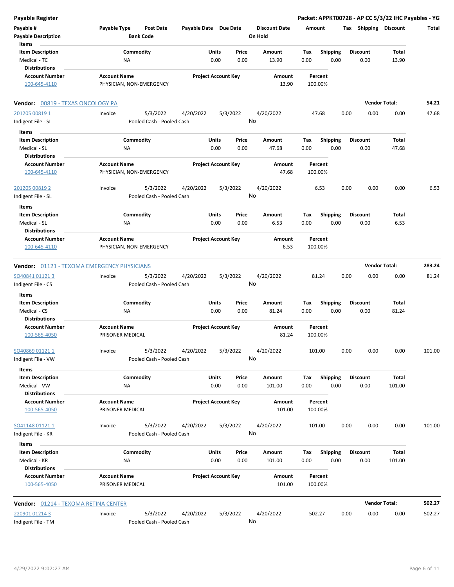| <b>Payable Register</b>                 |                                                      |                       |                                |                                 | Packet: APPKT00728 - AP CC 5/3/22 IHC Payables - YG |      |                         |                      |        |
|-----------------------------------------|------------------------------------------------------|-----------------------|--------------------------------|---------------------------------|-----------------------------------------------------|------|-------------------------|----------------------|--------|
| Payable #<br><b>Payable Description</b> | Payable Type<br><b>Post Date</b><br><b>Bank Code</b> | Payable Date Due Date |                                | <b>Discount Date</b><br>On Hold | Amount                                              |      | Tax Shipping Discount   |                      | Total  |
| Items                                   |                                                      |                       |                                |                                 |                                                     |      |                         |                      |        |
| <b>Item Description</b>                 | Commodity                                            |                       | Units<br>Price                 | Amount<br>13.90                 | <b>Shipping</b><br>Tax<br>0.00<br>0.00              |      | <b>Discount</b><br>0.00 | Total                |        |
| Medical - TC<br><b>Distributions</b>    | ΝA                                                   |                       | 0.00<br>0.00                   |                                 |                                                     |      |                         | 13.90                |        |
| <b>Account Number</b>                   | <b>Account Name</b>                                  |                       | <b>Project Account Key</b>     | Amount                          | Percent                                             |      |                         |                      |        |
| 100-645-4110                            | PHYSICIAN, NON-EMERGENCY                             |                       |                                | 13.90                           | 100.00%                                             |      |                         |                      |        |
| Vendor: 00819 - TEXAS ONCOLOGY PA       |                                                      |                       |                                |                                 |                                                     |      |                         | <b>Vendor Total:</b> | 54.21  |
| 201205 00819 1                          | 5/3/2022<br>Invoice                                  | 4/20/2022             | 5/3/2022                       | 4/20/2022                       | 47.68                                               | 0.00 | 0.00                    | 0.00                 | 47.68  |
| Indigent File - SL                      | Pooled Cash - Pooled Cash                            |                       |                                | No                              |                                                     |      |                         |                      |        |
| Items                                   |                                                      |                       |                                |                                 |                                                     |      |                         |                      |        |
| <b>Item Description</b>                 | Commodity                                            |                       | Units<br>Price                 | Amount                          | Tax<br><b>Shipping</b>                              |      | <b>Discount</b>         | Total                |        |
| Medical - SL                            | <b>NA</b>                                            |                       | 0.00<br>0.00                   | 47.68                           | 0.00<br>0.00                                        |      | 0.00                    | 47.68                |        |
| <b>Distributions</b>                    |                                                      |                       |                                |                                 |                                                     |      |                         |                      |        |
| <b>Account Number</b><br>100-645-4110   | <b>Account Name</b><br>PHYSICIAN, NON-EMERGENCY      |                       | <b>Project Account Key</b>     | Amount<br>47.68                 | Percent<br>100.00%                                  |      |                         |                      |        |
| 201205 00819 2                          | 5/3/2022<br>Invoice                                  | 4/20/2022             | 5/3/2022                       | 4/20/2022                       | 6.53                                                | 0.00 | 0.00                    | 0.00                 | 6.53   |
| Indigent File - SL                      | Pooled Cash - Pooled Cash                            |                       |                                | No                              |                                                     |      |                         |                      |        |
| Items                                   |                                                      |                       |                                |                                 |                                                     |      |                         |                      |        |
| <b>Item Description</b>                 | Commodity                                            |                       | Units<br>Price                 | Amount                          | <b>Shipping</b><br>Tax                              |      | <b>Discount</b>         | Total                |        |
| Medical - SL                            | NA                                                   |                       | 0.00<br>0.00                   | 6.53                            | 0.00<br>0.00                                        |      | 0.00                    | 6.53                 |        |
| <b>Distributions</b>                    |                                                      |                       |                                |                                 |                                                     |      |                         |                      |        |
| <b>Account Number</b>                   | <b>Account Name</b>                                  |                       | <b>Project Account Key</b>     | Amount                          | Percent                                             |      |                         |                      |        |
| 100-645-4110                            | PHYSICIAN, NON-EMERGENCY                             |                       |                                | 6.53                            | 100.00%                                             |      |                         |                      |        |
|                                         | <b>Vendor: 01121 - TEXOMA EMERGENCY PHYSICIANS</b>   |                       |                                |                                 |                                                     |      |                         | <b>Vendor Total:</b> | 283.24 |
|                                         | Invoice                                              |                       |                                | 4/20/2022                       | 81.24                                               | 0.00 | 0.00                    | 0.00                 | 81.24  |
| SO40841 01121 3<br>Indigent File - CS   | 5/3/2022<br>Pooled Cash - Pooled Cash                | 4/20/2022             | 5/3/2022                       | No                              |                                                     |      |                         |                      |        |
|                                         |                                                      |                       |                                |                                 |                                                     |      |                         |                      |        |
| Items                                   |                                                      |                       |                                |                                 |                                                     |      |                         |                      |        |
| <b>Item Description</b>                 | Commodity                                            |                       | Units<br>Price                 | Amount                          | Shipping<br>Tax                                     |      | <b>Discount</b>         | Total                |        |
| Medical - CS                            | NA                                                   |                       | 0.00<br>0.00                   | 81.24                           | 0.00<br>0.00                                        |      | 0.00                    | 81.24                |        |
| <b>Distributions</b>                    |                                                      |                       |                                |                                 |                                                     |      |                         |                      |        |
| <b>Account Number</b><br>100-565-4050   | <b>Account Name</b><br>PRISONER MEDICAL              |                       | <b>Project Account Key</b>     | Amount<br>81.24                 | Percent<br>100.00%                                  |      |                         |                      |        |
| SO40869 01121 1                         | 5/3/2022<br>Invoice                                  | 4/20/2022             | 5/3/2022                       | 4/20/2022                       | 101.00                                              | 0.00 | 0.00                    | 0.00                 | 101.00 |
| Indigent File - VW                      | Pooled Cash - Pooled Cash                            |                       |                                | No                              |                                                     |      |                         |                      |        |
|                                         |                                                      |                       |                                |                                 |                                                     |      |                         |                      |        |
| Items                                   |                                                      |                       |                                |                                 |                                                     |      | <b>Discount</b>         |                      |        |
| <b>Item Description</b><br>Medical - VW | Commodity<br>NA                                      |                       | Units<br>Price<br>0.00<br>0.00 | Amount<br>101.00                | Shipping<br>Tax<br>0.00<br>0.00                     |      | 0.00                    | Total<br>101.00      |        |
| <b>Distributions</b>                    |                                                      |                       |                                |                                 |                                                     |      |                         |                      |        |
| <b>Account Number</b>                   | <b>Account Name</b>                                  |                       | <b>Project Account Key</b>     | Amount                          | Percent                                             |      |                         |                      |        |
| 100-565-4050                            | PRISONER MEDICAL                                     |                       |                                | 101.00                          | 100.00%                                             |      |                         |                      |        |
| SO41148 01121 1                         | 5/3/2022<br>Invoice                                  | 4/20/2022             | 5/3/2022                       | 4/20/2022                       | 101.00                                              | 0.00 | 0.00                    | 0.00                 | 101.00 |
| Indigent File - KR                      | Pooled Cash - Pooled Cash                            |                       |                                | No                              |                                                     |      |                         |                      |        |
| Items<br><b>Item Description</b>        | Commodity                                            |                       | Units<br>Price                 | Amount                          | <b>Shipping</b><br>Tax                              |      | <b>Discount</b>         | Total                |        |
| Medical - KR                            | ΝA                                                   |                       | 0.00<br>0.00                   | 101.00                          | 0.00<br>0.00                                        |      | 0.00                    | 101.00               |        |
| <b>Distributions</b>                    |                                                      |                       |                                |                                 |                                                     |      |                         |                      |        |
| <b>Account Number</b><br>100-565-4050   | <b>Account Name</b><br>PRISONER MEDICAL              |                       | <b>Project Account Key</b>     | Amount<br>101.00                | Percent<br>100.00%                                  |      |                         |                      |        |
| Vendor: 01214 - TEXOMA RETINA CENTER    |                                                      |                       |                                |                                 |                                                     |      |                         | <b>Vendor Total:</b> | 502.27 |
| 220901 01214 3                          | 5/3/2022<br>Invoice                                  | 4/20/2022             | 5/3/2022                       | 4/20/2022                       | 502.27                                              | 0.00 | 0.00                    | 0.00                 | 502.27 |
| Indigent File - TM                      | Pooled Cash - Pooled Cash                            |                       |                                | No                              |                                                     |      |                         |                      |        |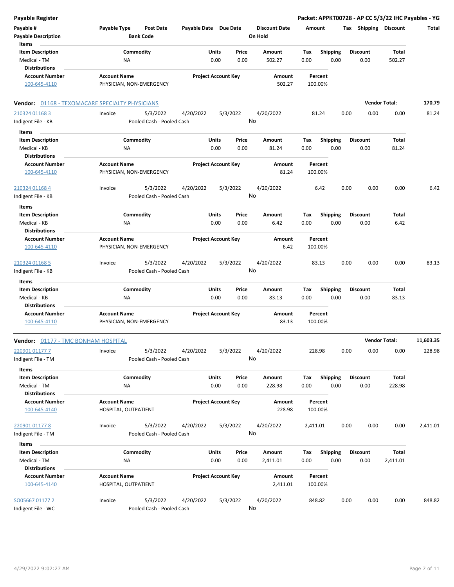| <b>Payable Register</b>                                                  |                                                 |                                       |                            |               |               |                                 |             |                         |      |                         |                       | Packet: APPKT00728 - AP CC 5/3/22 IHC Payables - YG |
|--------------------------------------------------------------------------|-------------------------------------------------|---------------------------------------|----------------------------|---------------|---------------|---------------------------------|-------------|-------------------------|------|-------------------------|-----------------------|-----------------------------------------------------|
| Payable #<br><b>Payable Description</b>                                  | Payable Type                                    | <b>Post Date</b><br><b>Bank Code</b>  | Payable Date Due Date      |               |               | <b>Discount Date</b><br>On Hold | Amount      |                         |      | Tax Shipping Discount   |                       | Total                                               |
| Items<br><b>Item Description</b><br>Medical - TM                         | Commodity<br>ΝA                                 |                                       |                            | Units<br>0.00 | Price<br>0.00 | Amount<br>502.27                | Tax<br>0.00 | <b>Shipping</b><br>0.00 |      | <b>Discount</b><br>0.00 | Total<br>502.27       |                                                     |
| <b>Distributions</b><br><b>Account Number</b><br>100-645-4110            | <b>Account Name</b><br>PHYSICIAN, NON-EMERGENCY |                                       | <b>Project Account Key</b> |               |               | Amount<br>502.27                | 100.00%     | Percent                 |      |                         |                       |                                                     |
| <b>Vendor: 01168 - TEXOMACARE SPECIALTY PHYSICIANS</b>                   |                                                 |                                       |                            |               |               |                                 |             |                         |      | <b>Vendor Total:</b>    |                       | 170.79                                              |
| 210324 01168 3<br>Indigent File - KB                                     | Invoice                                         | 5/3/2022<br>Pooled Cash - Pooled Cash | 4/20/2022                  | 5/3/2022      | No            | 4/20/2022                       | 81.24       |                         | 0.00 | 0.00                    | 0.00                  | 81.24                                               |
| Items<br><b>Item Description</b><br>Medical - KB<br><b>Distributions</b> | Commodity<br>ΝA                                 |                                       |                            | Units<br>0.00 | Price<br>0.00 | Amount<br>81.24                 | Tax<br>0.00 | Shipping<br>0.00        |      | <b>Discount</b><br>0.00 | Total<br>81.24        |                                                     |
| <b>Account Number</b><br>100-645-4110                                    | <b>Account Name</b><br>PHYSICIAN, NON-EMERGENCY |                                       | <b>Project Account Key</b> |               |               | Amount<br>81.24                 | 100.00%     | Percent                 |      |                         |                       |                                                     |
| 210324 01168 4<br>Indigent File - KB                                     | Invoice                                         | 5/3/2022<br>Pooled Cash - Pooled Cash | 4/20/2022                  | 5/3/2022      | No            | 4/20/2022                       |             | 6.42                    | 0.00 | 0.00                    | 0.00                  | 6.42                                                |
| Items<br><b>Item Description</b><br>Medical - KB<br>Distributions        | Commodity<br>ΝA                                 |                                       |                            | Units<br>0.00 | Price<br>0.00 | Amount<br>6.42                  | Tax<br>0.00 | <b>Shipping</b><br>0.00 |      | <b>Discount</b><br>0.00 | Total<br>6.42         |                                                     |
| <b>Account Number</b><br>100-645-4110                                    | <b>Account Name</b><br>PHYSICIAN, NON-EMERGENCY |                                       | <b>Project Account Key</b> |               |               | Amount<br>6.42                  | 100.00%     | Percent                 |      |                         |                       |                                                     |
| 210324 01168 5<br>Indigent File - KB                                     | Invoice                                         | 5/3/2022<br>Pooled Cash - Pooled Cash | 4/20/2022                  | 5/3/2022      | No            | 4/20/2022                       | 83.13       |                         | 0.00 | 0.00                    | 0.00                  | 83.13                                               |
| Items<br><b>Item Description</b><br>Medical - KB<br><b>Distributions</b> | Commodity<br>ΝA                                 |                                       |                            | Units<br>0.00 | Price<br>0.00 | Amount<br>83.13                 | Tax<br>0.00 | <b>Shipping</b><br>0.00 |      | <b>Discount</b><br>0.00 | <b>Total</b><br>83.13 |                                                     |
| <b>Account Number</b><br>100-645-4110                                    | <b>Account Name</b><br>PHYSICIAN, NON-EMERGENCY |                                       | <b>Project Account Key</b> |               |               | Amount<br>83.13                 | 100.00%     | Percent                 |      |                         |                       |                                                     |
| <b>Vendor: 01177 - TMC BONHAM HOSPITAL</b>                               |                                                 |                                       |                            |               |               |                                 |             |                         |      | <b>Vendor Total:</b>    |                       | 11,603.35                                           |
| 220901 01177 7<br>Indigent File - TM                                     | Invoice                                         | 5/3/2022<br>Pooled Cash - Pooled Cash | 4/20/2022                  | 5/3/2022      | No            | 4/20/2022                       | 228.98      |                         | 0.00 | 0.00                    | 0.00                  | 228.98                                              |
| Items<br><b>Item Description</b><br>Medical - TM                         | Commodity<br>NA                                 |                                       |                            | Units<br>0.00 | Price<br>0.00 | Amount<br>228.98                | Tax<br>0.00 | <b>Shipping</b><br>0.00 |      | <b>Discount</b><br>0.00 | Total<br>228.98       |                                                     |
| <b>Distributions</b><br><b>Account Number</b><br>100-645-4140            | <b>Account Name</b><br>HOSPITAL, OUTPATIENT     |                                       | <b>Project Account Key</b> |               |               | Amount<br>228.98                | 100.00%     | Percent                 |      |                         |                       |                                                     |
| 220901 01177 8<br>Indigent File - TM                                     | Invoice                                         | 5/3/2022<br>Pooled Cash - Pooled Cash | 4/20/2022                  | 5/3/2022      | No            | 4/20/2022                       | 2,411.01    |                         | 0.00 | 0.00                    | 0.00                  | 2,411.01                                            |
| Items                                                                    |                                                 |                                       |                            |               |               |                                 |             |                         |      |                         |                       |                                                     |
| <b>Item Description</b><br>Medical - TM<br><b>Distributions</b>          | Commodity<br>ΝA                                 |                                       |                            | Units<br>0.00 | Price<br>0.00 | Amount<br>2,411.01              | Tax<br>0.00 | <b>Shipping</b><br>0.00 |      | <b>Discount</b><br>0.00 | Total<br>2,411.01     |                                                     |
| <b>Account Number</b><br>100-645-4140                                    | <b>Account Name</b><br>HOSPITAL, OUTPATIENT     |                                       | <b>Project Account Key</b> |               |               | Amount<br>2,411.01              | 100.00%     | Percent                 |      |                         |                       |                                                     |
| SO05667 01177 2<br>Indigent File - WC                                    | Invoice                                         | 5/3/2022<br>Pooled Cash - Pooled Cash | 4/20/2022                  | 5/3/2022      | No            | 4/20/2022                       | 848.82      |                         | 0.00 | 0.00                    | 0.00                  | 848.82                                              |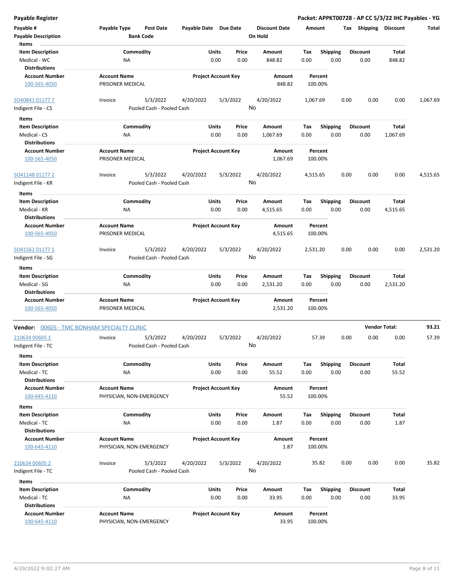| <b>Payable Register</b>                                         |                                                      |                            |               |                                 |                    |                         | Packet: APPKT00728 - AP CC 5/3/22 IHC Payables - YG |                      |          |
|-----------------------------------------------------------------|------------------------------------------------------|----------------------------|---------------|---------------------------------|--------------------|-------------------------|-----------------------------------------------------|----------------------|----------|
| Payable #<br><b>Payable Description</b>                         | Payable Type<br><b>Post Date</b><br><b>Bank Code</b> | Payable Date Due Date      |               | <b>Discount Date</b><br>On Hold | Amount             |                         | Tax Shipping Discount                               |                      | Total    |
| Items                                                           |                                                      |                            |               |                                 |                    |                         |                                                     |                      |          |
| <b>Item Description</b><br>Medical - WC<br><b>Distributions</b> | Commodity<br><b>NA</b>                               | Units<br>0.00              | Price<br>0.00 | Amount<br>848.82                | Tax<br>0.00        | <b>Shipping</b><br>0.00 | <b>Discount</b><br>0.00                             | Total<br>848.82      |          |
| <b>Account Number</b>                                           | <b>Account Name</b>                                  | <b>Project Account Key</b> |               | Amount                          | Percent            |                         |                                                     |                      |          |
| 100-565-4050                                                    | PRISONER MEDICAL                                     |                            |               | 848.82                          | 100.00%            |                         |                                                     |                      |          |
| SO40841 01177 7                                                 | 5/3/2022<br>Invoice<br>Pooled Cash - Pooled Cash     | 4/20/2022                  | 5/3/2022      | 4/20/2022<br>No                 | 1,067.69           |                         | 0.00<br>0.00                                        | 0.00                 | 1,067.69 |
| Indigent File - CS                                              |                                                      |                            |               |                                 |                    |                         |                                                     |                      |          |
| Items                                                           |                                                      |                            |               |                                 |                    |                         |                                                     |                      |          |
| <b>Item Description</b>                                         | Commodity                                            | Units                      | Price         | Amount                          | Tax                | <b>Shipping</b>         | <b>Discount</b>                                     | Total                |          |
| Medical - CS<br><b>Distributions</b>                            | NA                                                   | 0.00                       | 0.00          | 1,067.69                        | 0.00               | 0.00                    | 0.00                                                | 1,067.69             |          |
| <b>Account Number</b>                                           | <b>Account Name</b>                                  | <b>Project Account Key</b> |               | Amount                          | Percent            |                         |                                                     |                      |          |
| 100-565-4050                                                    | PRISONER MEDICAL                                     |                            |               | 1,067.69                        | 100.00%            |                         |                                                     |                      |          |
| SO41148 01177 2                                                 | 5/3/2022<br>Invoice                                  | 4/20/2022                  | 5/3/2022      | 4/20/2022                       | 4,515.65           |                         | 0.00<br>0.00                                        | 0.00                 | 4,515.65 |
| Indigent File - KR                                              | Pooled Cash - Pooled Cash                            |                            |               | No                              |                    |                         |                                                     |                      |          |
| Items                                                           |                                                      |                            |               |                                 |                    |                         |                                                     |                      |          |
| <b>Item Description</b>                                         | Commodity                                            | Units                      | Price         | Amount                          | Tax                | <b>Shipping</b>         | <b>Discount</b>                                     | Total                |          |
| Medical - KR                                                    | NA                                                   | 0.00                       | 0.00          | 4,515.65                        | 0.00               | 0.00                    | 0.00                                                | 4,515.65             |          |
| <b>Distributions</b>                                            |                                                      |                            |               |                                 |                    |                         |                                                     |                      |          |
| <b>Account Number</b><br>100-565-4050                           | <b>Account Name</b><br>PRISONER MEDICAL              | <b>Project Account Key</b> |               | Amount<br>4,515.65              | Percent<br>100.00% |                         |                                                     |                      |          |
| SO41562 01177 1                                                 | 5/3/2022<br>Invoice                                  | 4/20/2022                  | 5/3/2022      | 4/20/2022                       | 2,531.20           |                         | 0.00<br>0.00                                        | 0.00                 | 2,531.20 |
| Indigent File - SG                                              | Pooled Cash - Pooled Cash                            |                            |               | No                              |                    |                         |                                                     |                      |          |
| Items                                                           |                                                      |                            |               |                                 |                    |                         |                                                     |                      |          |
| <b>Item Description</b>                                         | Commodity                                            | Units                      | Price         | Amount                          | Tax                | <b>Shipping</b>         | <b>Discount</b>                                     | Total                |          |
| Medical - SG                                                    | NA                                                   | 0.00                       | 0.00          | 2,531.20                        | 0.00               | 0.00                    | 0.00                                                | 2,531.20             |          |
| <b>Distributions</b>                                            |                                                      |                            |               |                                 |                    |                         |                                                     |                      |          |
| <b>Account Number</b>                                           | <b>Account Name</b>                                  | <b>Project Account Key</b> |               | Amount                          | Percent            |                         |                                                     |                      |          |
| 100-565-4050                                                    | PRISONER MEDICAL                                     |                            |               | 2,531.20                        | 100.00%            |                         |                                                     |                      |          |
| <b>Vendor: 00605 - TMC BONHAM SPECIALTY CLINIC</b>              |                                                      |                            |               |                                 |                    |                         |                                                     | <b>Vendor Total:</b> | 93.21    |
| 210634 00605 1                                                  | 5/3/2022<br>Invoice                                  | 4/20/2022                  | 5/3/2022      | 4/20/2022                       | 57.39              |                         | 0.00<br>0.00                                        | 0.00                 | 57.39    |
| Indigent File - TC<br>Items                                     | Pooled Cash - Pooled Cash                            |                            |               | No                              |                    |                         |                                                     |                      |          |
| <b>Item Description</b>                                         | Commodity                                            | Units                      | Price         | Amount                          | Tax                | <b>Shipping</b>         | <b>Discount</b>                                     | Total                |          |
| Medical - TC                                                    | NA                                                   | 0.00                       | 0.00          | 55.52                           | 0.00               | 0.00                    | 0.00                                                | 55.52                |          |
| <b>Distributions</b>                                            |                                                      |                            |               |                                 |                    |                         |                                                     |                      |          |
| <b>Account Number</b>                                           | <b>Account Name</b>                                  | <b>Project Account Key</b> |               | Amount                          | Percent            |                         |                                                     |                      |          |
| 100-645-4110                                                    | PHYSICIAN, NON-EMERGENCY                             |                            |               | 55.52                           | 100.00%            |                         |                                                     |                      |          |
| Items                                                           |                                                      |                            |               |                                 |                    |                         |                                                     |                      |          |
| <b>Item Description</b>                                         | Commodity                                            | Units                      | Price         | Amount                          | Tax                | <b>Shipping</b>         | <b>Discount</b>                                     | Total                |          |
| Medical - TC                                                    | <b>NA</b>                                            | 0.00                       | 0.00          | 1.87                            | 0.00               | 0.00                    | 0.00                                                | 1.87                 |          |
| <b>Distributions</b>                                            |                                                      |                            |               |                                 |                    |                         |                                                     |                      |          |
| <b>Account Number</b>                                           | <b>Account Name</b>                                  | <b>Project Account Key</b> |               | Amount                          | Percent            |                         |                                                     |                      |          |
| 100-645-4110                                                    | PHYSICIAN, NON-EMERGENCY                             |                            |               | 1.87                            | 100.00%            |                         |                                                     |                      |          |
| 210634 00605 2                                                  | Invoice<br>5/3/2022                                  | 4/20/2022                  | 5/3/2022      | 4/20/2022                       | 35.82              |                         | 0.00<br>0.00                                        | 0.00                 | 35.82    |
| Indigent File - TC                                              | Pooled Cash - Pooled Cash                            |                            |               | No                              |                    |                         |                                                     |                      |          |
| Items                                                           |                                                      |                            |               |                                 |                    |                         |                                                     |                      |          |
| <b>Item Description</b>                                         | Commodity                                            | Units                      | Price         | Amount                          | Tax                | <b>Shipping</b>         | <b>Discount</b>                                     | Total                |          |
| Medical - TC                                                    | NA                                                   | 0.00                       | 0.00          | 33.95                           | 0.00               | 0.00                    | 0.00                                                | 33.95                |          |
| <b>Distributions</b>                                            |                                                      |                            |               |                                 |                    |                         |                                                     |                      |          |
| <b>Account Number</b>                                           | <b>Account Name</b>                                  | <b>Project Account Key</b> |               | Amount                          | Percent            |                         |                                                     |                      |          |
| 100-645-4110                                                    | PHYSICIAN, NON-EMERGENCY                             |                            |               | 33.95                           | 100.00%            |                         |                                                     |                      |          |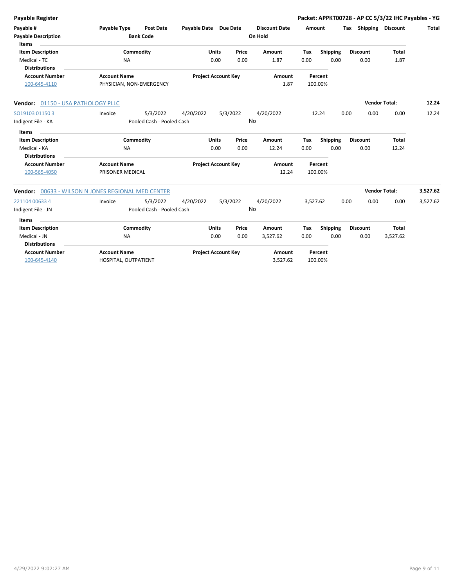| <b>Payable Register</b>                                         |                                                 |                                       |                            |                            |                |                                 |                    |                    |      |                         | Packet: APPKT00728 - AP CC 5/3/22 IHC Payables - YG |          |
|-----------------------------------------------------------------|-------------------------------------------------|---------------------------------------|----------------------------|----------------------------|----------------|---------------------------------|--------------------|--------------------|------|-------------------------|-----------------------------------------------------|----------|
| Payable #<br><b>Payable Description</b><br><b>Items</b>         | Payable Type                                    | <b>Post Date</b><br><b>Bank Code</b>  | Payable Date Due Date      |                            |                | <b>Discount Date</b><br>On Hold | Amount             |                    |      | Tax Shipping Discount   |                                                     | Total    |
| <b>Item Description</b><br>Medical - TC<br><b>Distributions</b> | <b>NA</b>                                       | Commodity                             |                            | <b>Units</b><br>0.00       | Price<br>0.00  | Amount<br>1.87                  | Tax<br>0.00        | Shipping<br>0.00   |      | <b>Discount</b><br>0.00 | Total<br>1.87                                       |          |
| <b>Account Number</b><br>100-645-4110                           | <b>Account Name</b><br>PHYSICIAN, NON-EMERGENCY |                                       | <b>Project Account Key</b> |                            | Amount<br>1.87 |                                 | Percent<br>100.00% |                    |      |                         |                                                     |          |
| Vendor: 01150 - USA PATHOLOGY PLLC                              |                                                 |                                       |                            |                            |                |                                 |                    |                    |      | <b>Vendor Total:</b>    |                                                     | 12.24    |
| SO19103 01150 3<br>Indigent File - KA<br>Items                  | Invoice                                         | 5/3/2022<br>Pooled Cash - Pooled Cash | 4/20/2022                  |                            | 5/3/2022       | 4/20/2022<br>No                 |                    | 12.24              | 0.00 | 0.00                    | 0.00                                                | 12.24    |
| <b>Item Description</b><br>Medical - KA<br><b>Distributions</b> | <b>NA</b>                                       | Commodity                             |                            | <b>Units</b><br>0.00       | Price<br>0.00  | Amount<br>12.24                 | Tax<br>0.00        | Shipping<br>0.00   |      | <b>Discount</b><br>0.00 | <b>Total</b><br>12.24                               |          |
| <b>Account Number</b><br>100-565-4050                           | <b>Account Name</b><br>PRISONER MEDICAL         |                                       |                            | <b>Project Account Key</b> |                | Amount<br>12.24                 | Percent<br>100.00% |                    |      |                         |                                                     |          |
| Vendor:                                                         | 00633 - WILSON N JONES REGIONAL MED CENTER      |                                       |                            |                            |                |                                 |                    |                    |      | <b>Vendor Total:</b>    |                                                     | 3,527.62 |
| 221104 00633 4<br>Indigent File - JN                            | Invoice                                         | 5/3/2022<br>Pooled Cash - Pooled Cash | 4/20/2022                  |                            | 5/3/2022<br>No | 4/20/2022                       | 3,527.62           |                    | 0.00 | 0.00                    | 0.00                                                | 3,527.62 |
| Items                                                           |                                                 |                                       |                            | <b>Units</b>               | Price          |                                 |                    |                    |      | <b>Discount</b>         | <b>Total</b>                                        |          |
| <b>Item Description</b><br>Medical - JN<br><b>Distributions</b> | <b>NA</b>                                       | Commodity                             |                            | 0.00                       | 0.00           | Amount<br>3,527.62              | Tax<br>0.00        | Shipping<br>0.00   |      | 0.00                    | 3,527.62                                            |          |
| <b>Account Number</b><br>100-645-4140                           | <b>Account Name</b><br>HOSPITAL, OUTPATIENT     |                                       |                            | <b>Project Account Key</b> |                | Amount<br>3,527.62              |                    | Percent<br>100.00% |      |                         |                                                     |          |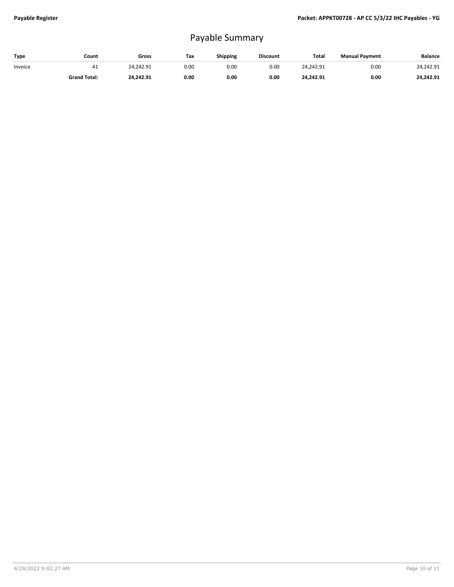## Payable Summary

| Type    | Count               | Gross     | Tax  | Shipping | <b>Discount</b> | Total     | <b>Manual Payment</b> | Balance   |
|---------|---------------------|-----------|------|----------|-----------------|-----------|-----------------------|-----------|
| Invoice | 41                  | 24.242.91 | 0.00 | 0.OC     | 0.00            | 24.242.91 | 0.00                  | 24.242.91 |
|         | <b>Grand Total:</b> | 24.242.91 | 0.00 | 0.00     | 0.00            | 24.242.91 | 0.00                  | 24.242.91 |